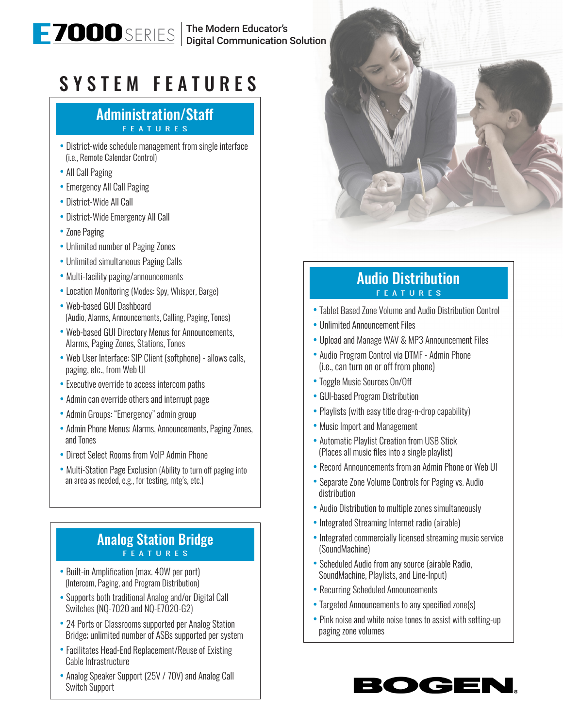The Modern Educator's Digital Communication Solution

# SYSTEM FEATURES

#### Administration/Staff FEATURES

- District-wide schedule management from single interface (i.e., Remote Calendar Control)
- All Call Paging
- Emergency All Call Paging
- District-Wide All Call
- District-Wide Emergency All Call
- Zone Paging
- Unlimited number of Paging Zones
- Unlimited simultaneous Paging Calls
- Multi-facility paging/announcements
- Location Monitoring (Modes: Spy, Whisper, Barge)
- Web-based GUI Dashboard (Audio, Alarms, Announcements, Calling, Paging, Tones)
- Web-based GUI Directory Menus for Announcements, Alarms, Paging Zones, Stations, Tones
- Web User Interface: SIP Client (softphone) allows calls, paging, etc., from Web UI
- Executive override to access intercom paths
- Admin can override others and interrupt page
- Admin Groups: "Emergency" admin group
- Admin Phone Menus: Alarms, Announcements, Paging Zones, and Tones
- Direct Select Rooms from VoIP Admin Phone
- Multi-Station Page Exclusion (Ability to turn off paging into an area as needed, e.g., for testing, mtg's, etc.)

#### Analog Station Bridge FEATURES

- Built-in Amplification (max. 40W per port) (Intercom, Paging, and Program Distribution)
- Supports both traditional Analog and/or Digital Call Switches (NQ-7020 and NQ-E7020-G2)
- 24 Ports or Classrooms supported per Analog Station Bridge; unlimited number of ASBs supported per system
- Facilitates Head-End Replacement/Reuse of Existing Cable Infrastructure
- Analog Speaker Support (25V / 70V) and Analog Call Switch Support



### Audio Distribution FEATURES

- Tablet Based Zone Volume and Audio Distribution Control
- Unlimited Announcement Files
- Upload and Manage WAV & MP3 Announcement Files
- Audio Program Control via DTMF Admin Phone (i.e., can turn on or off from phone)
- Toggle Music Sources On/Off
- GUI-based Program Distribution
- Playlists (with easy title drag-n-drop capability)
- Music Import and Management
- Automatic Playlist Creation from USB Stick (Places all music files into a single playlist)
- Record Announcements from an Admin Phone or Web UI
- Separate Zone Volume Controls for Paging vs. Audio distribution
- Audio Distribution to multiple zones simultaneously
- Integrated Streaming Internet radio (airable)
- Integrated commercially licensed streaming music service (SoundMachine)
- Scheduled Audio from any source (airable Radio, SoundMachine, Playlists, and Line-Input)
- Recurring Scheduled Announcements
- Targeted Announcements to any specified zone(s)
- Pink noise and white noise tones to assist with setting-up paging zone volumes

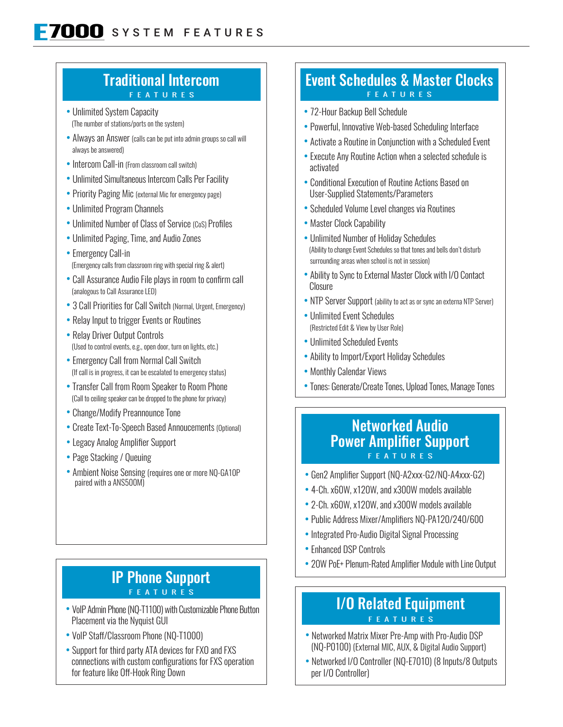#### Traditional Intercom **FEATURES**

- Unlimited System Capacity (The number of stations/ports on the system)
- Always an Answer (calls can be put into admin groups so call will always be answered)
- Intercom Call-in (From classroom call switch)
- Unlimited Simultaneous Intercom Calls Per Facility
- Priority Paging Mic (external Mic for emergency page)
- Unlimited Program Channels
- Unlimited Number of Class of Service (CoS) Profiles
- Unlimited Paging, Time, and Audio Zones
- Emergency Call-in (Emergency calls from classroom ring with special ring & alert)
- Call Assurance Audio File plays in room to confirm call (analogous to Call Assurance LED)
- 3 Call Priorities for Call Switch (Normal, Urgent, Emergency)
- Relay Input to trigger Events or Routines
- Relay Driver Output Controls (Used to control events, e.g., open door, turn on lights, etc.)
- Emergency Call from Normal Call Switch (If call is in progress, it can be escalated to emergency status)
- Transfer Call from Room Speaker to Room Phone (Call to ceiling speaker can be dropped to the phone for privacy)
- Change/Modify Preannounce Tone
- Create Text-To-Speech Based Annoucements (Optional)
- Legacy Analog Amplifier Support
- Page Stacking / Queuing
- Ambient Noise Sensing (requires one or more NQ-GA10P) paired with a ANS500M)

#### IP Phone Support FEATURES

- VoIP Admin Phone (NQ-T1100) with Customizable Phone Button Placement via the Nyquist GUI
- VoIP Staff/Classroom Phone (NQ-T1000)
- Support for third party ATA devices for FXO and FXS connections with custom configurations for FXS operation for feature like Off-Hook Ring Down

#### Event Schedules & Master Clocks FEATURES

- 72-Hour Backup Bell Schedule
- Powerful, Innovative Web-based Scheduling Interface
- Activate a Routine in Conjunction with a Scheduled Event
- Execute Any Routine Action when a selected schedule is activated
- Conditional Execution of Routine Actions Based on User-Supplied Statements/Parameters
- Scheduled Volume Level changes via Routines
- Master Clock Capability
- Unlimited Number of Holiday Schedules (Ability to change Event Schedules so that tones and bells don't disturb surrounding areas when school is not in session)
- Ability to Sync to External Master Clock with I/O Contact Closure
- NTP Server Support (ability to act as or sync an externa NTP Server)
- Unlimited Event Schedules (Restricted Edit & View by User Role)
- Unlimited Scheduled Events
- Ability to Import/Export Holiday Schedules
- Monthly Calendar Views
- Tones: Generate/Create Tones, Upload Tones, Manage Tones

#### Networked Audio Power Amplifier Support FEATURES

- Gen2 Amplifier Support (NQ-A2xxx-G2/NQ-A4xxx-G2)
- 4-Ch. x60W, x120W, and x300W models available
- 2-Ch. x60W, x120W, and x300W models available
- Public Address Mixer/Amplifiers NQ-PA120/240/600
- Integrated Pro-Audio Digital Signal Processing
- Enhanced DSP Controls
- 20W PoE+ Plenum-Rated Amplifier Module with Line Output

#### I/O Related Equipment **FEATURES**

- Networked Matrix Mixer Pre-Amp with Pro-Audio DSP (NQ-P0100) (External MIC, AUX, & Digital Audio Support)
- Networked I/O Controller (NQ-E7010) (8 Inputs/8 Outputs per I/O Controller)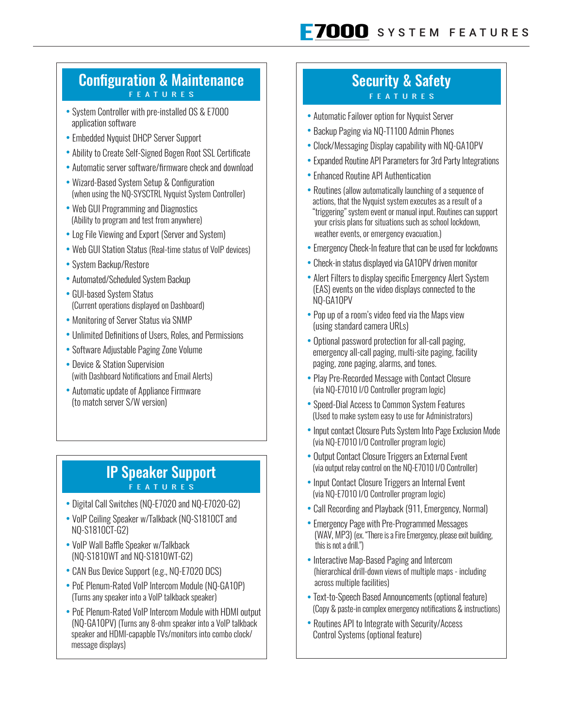#### Configuration & Maintenance FEATURES

- System Controller with pre-installed OS & E7000 application software
- Embedded Nyquist DHCP Server Support
- Ability to Create Self-Signed Bogen Root SSL Certificate
- Automatic server software/firmware check and download
- Wizard-Based System Setup & Configuration (when using the NQ-SYSCTRL Nyquist System Controller)
- Web GUI Programming and Diagnostics (Ability to program and test from anywhere)
- Log File Viewing and Export (Server and System)
- Web GUI Station Status (Real-time status of VoIP devices)
- System Backup/Restore
- Automated/Scheduled System Backup
- GUI-based System Status (Current operations displayed on Dashboard)
- Monitoring of Server Status via SNMP
- Unlimited Definitions of Users, Roles, and Permissions
- Software Adjustable Paging Zone Volume
- Device & Station Supervision (with Dashboard Notifications and Email Alerts)
- Automatic update of Appliance Firmware (to match server S/W version)

#### IP Speaker Support FEATURES

- Digital Call Switches (NQ-E7020 and NQ-E7020-G2)
- VoIP Ceiling Speaker w/Talkback (NQ-S1810CT and NQ-S1810CT-G2)
- VoIP Wall Baffle Speaker w/Talkback (NQ-S1810WT and NQ-S1810WT-G2)
- CAN Bus Device Support (e.g., NQ-E7020 DCS)
- PoE Plenum-Rated VoIP Intercom Module (NQ-GA10P) (Turns any speaker into a VoIP talkback speaker)
- PoE Plenum-Rated VoIP Intercom Module with HDMI output (NQ-GA10PV) (Turns any 8-ohm speaker into a VoIP talkback speaker and HDMI-capapble TVs/monitors into combo clock/ message displays)

#### Security & Safety FEATURES

- Automatic Failover option for Nyquist Server
- Backup Paging via NQ-T1100 Admin Phones
- Clock/Messaging Display capability with NQ-GA10PV
- Expanded Routine API Parameters for 3rd Party Integrations
- Enhanced Routine API Authentication
- Routines (allow automatically launching of a sequence of actions, that the Nyquist system executes as a result of a "triggering" system event or manual input. Routines can support your crisis plans for situations such as school lockdown, weather events, or emergency evacuation.)
- Emergency Check-In feature that can be used for lockdowns
- Check-in status displayed via GA10PV driven monitor
- Alert Filters to display specific Emergency Alert System (EAS) events on the video displays connected to the NQ-GA10PV
- Pop up of a room's video feed via the Maps view (using standard camera URLs)
- Optional password protection for all-call paging, emergency all-call paging, multi-site paging, facility paging, zone paging, alarms, and tones.
- Play Pre-Recorded Message with Contact Closure (via NQ-E7010 I/O Controller program logic)
- Speed-Dial Access to Common System Features (Used to make system easy to use for Administrators)
- Input contact Closure Puts System Into Page Exclusion Mode (via NQ-E7010 I/O Controller program logic)
- Output Contact Closure Triggers an External Event (via output relay control on the NQ-E7010 I/O Controller)
- Input Contact Closure Triggers an Internal Event (via NQ-E7010 I/O Controller program logic)
- Call Recording and Playback (911, Emergency, Normal)
- Emergency Page with Pre-Programmed Messages (WAV, MP3) (ex. "There is a Fire Emergency, please exit building, this is not a drill.")
- Interactive Map-Based Paging and Intercom (hierarchical drill-down views of multiple maps - including across multiple facilities)
- Text-to-Speech Based Announcements (optional feature) (Copy & paste-in complex emergency notifications & instructions)
- Routines API to Integrate with Security/Access Control Systems (optional feature)